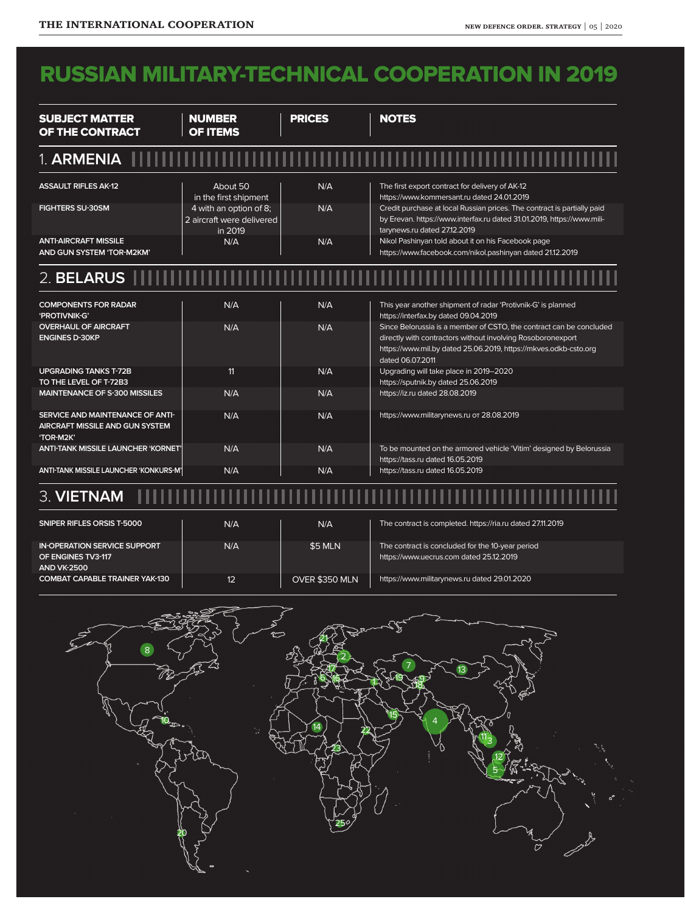## RUSSIAN MILITARY-TECHNICAL COOPERATION IN 2019

| <b>SUBJECT MATTER</b><br>OF THE CONTRACT                                         | <b>NUMBER</b><br><b>OF ITEMS</b>                               | <b>PRICES</b> | <b>NOTES</b>                                                                                                                                                                                                               |
|----------------------------------------------------------------------------------|----------------------------------------------------------------|---------------|----------------------------------------------------------------------------------------------------------------------------------------------------------------------------------------------------------------------------|
| 1. ARMENIA                                                                       |                                                                |               |                                                                                                                                                                                                                            |
| <b>ASSAULT RIFLES AK-12</b>                                                      | About 50<br>in the first shipment                              | N/A           | The first export contract for delivery of AK-12<br>https://www.kommersant.ru dated 24.01.2019                                                                                                                              |
| <b>FIGHTERS SU-30SM</b>                                                          | 4 with an option of 8;<br>2 aircraft were delivered<br>in 2019 | N/A           | Credit purchase at local Russian prices. The contract is partially paid<br>by Erevan. https://www.interfax.ru dated 31.01.2019, https://www.mili-<br>tarynews.ru dated 27.12.2019                                          |
| <b>ANTI-AIRCRAFT MISSILE</b><br>AND GUN SYSTEM 'TOR-M2KM'                        | N/A                                                            | N/A           | Nikol Pashinyan told about it on his Facebook page<br>https://www.facebook.com/nikol.pashinyan dated 21.12.2019                                                                                                            |
| $2.$ BELARUS $\blacksquare$                                                      |                                                                |               |                                                                                                                                                                                                                            |
| <b>COMPONENTS FOR RADAR</b><br>'PROTIVNIK-G'                                     | N/A                                                            | N/A           | This year another shipment of radar 'Protivnik-G' is planned<br>https://interfax.by dated 09.04.2019                                                                                                                       |
| <b>OVERHAUL OF AIRCRAFT</b><br><b>ENGINES D-30KP</b>                             | N/A                                                            | N/A           | Since Belorussia is a member of CSTO, the contract can be concluded<br>directly with contractors without involving Rosoboronexport<br>https://www.mil.by dated 25.06.2019, https://mkves.odkb-csto.org<br>dated 06.07.2011 |
| <b>UPGRADING TANKS T-72B</b><br>TO THE LEVEL OF T-72B3                           | 11                                                             | N/A           | Upgrading will take place in 2019-2020<br>https://sputnik.by dated 25.06.2019                                                                                                                                              |
| <b>MAINTENANCE OF S-300 MISSILES</b>                                             | N/A                                                            | N/A           | https://iz.ru dated 28.08.2019                                                                                                                                                                                             |
| SERVICE AND MAINTENANCE OF ANTI-<br>AIRCRAFT MISSILE AND GUN SYSTEM<br>'TOR-M2K' | N/A                                                            | N/A           | https://www.militarynews.ru or 28.08.2019                                                                                                                                                                                  |
| <b>ANTI-TANK MISSILE LAUNCHER 'KORNET'</b>                                       | N/A                                                            | N/A           | To be mounted on the armored vehicle 'Vitim' designed by Belorussia<br>https://tass.ru dated 16.05.2019                                                                                                                    |
| ANTI-TANK MISSILE LAUNCHER 'KONKURS-M'                                           | N/A                                                            | N/A           | https://tass.ru dated 16.05.2019                                                                                                                                                                                           |

## 3. **VIETNAM**.....................

| SNIPER RIFLES ORSIS T-5000                                                      | N/A          | N/A            | The contract is completed. https://ria.ru dated 27.11.2019                                  |
|---------------------------------------------------------------------------------|--------------|----------------|---------------------------------------------------------------------------------------------|
| <b>IN-OPERATION SERVICE SUPPORT</b><br>OF ENGINES TV3-117<br><b>AND VK-2500</b> | N/A          | \$5 MLN        | The contract is concluded for the 10-year period<br>https://www.uecrus.com dated 25.12.2019 |
| <b>COMBAT CAPABLE TRAINER YAK-130</b>                                           | $12^{\circ}$ | OVER \$350 MLN | https://www.militarynews.ru dated 29.01.2020                                                |

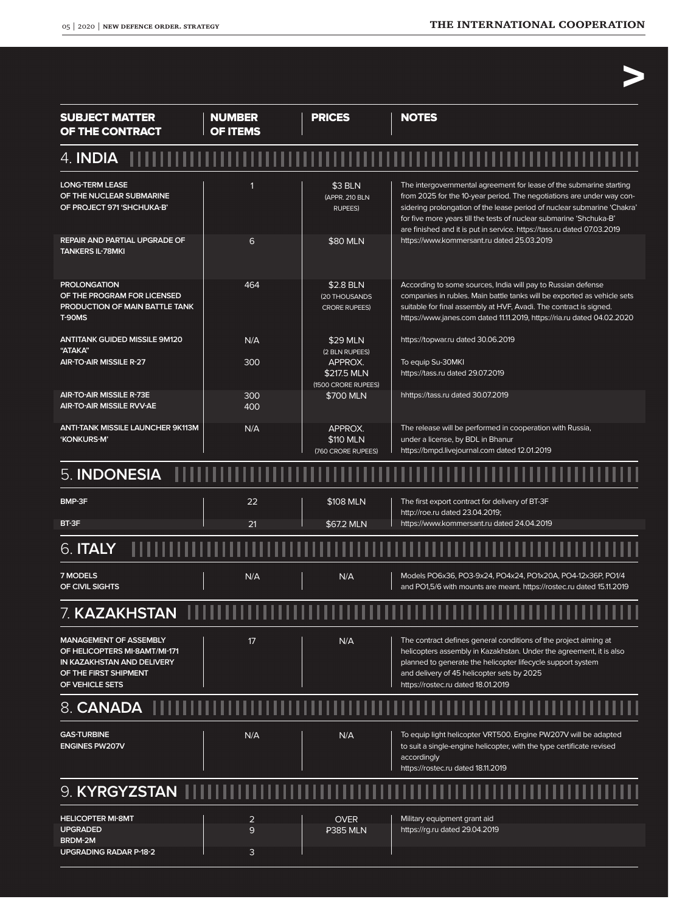>

| <b>SUBJECT MATTER</b><br>OF THE CONTRACT                                                                                                 | <b>NUMBER</b><br><b>OF ITEMS</b> | <b>PRICES</b>                                        | <b>NOTES</b>                                                                                                                                                                                                                                                                                                                                                              |
|------------------------------------------------------------------------------------------------------------------------------------------|----------------------------------|------------------------------------------------------|---------------------------------------------------------------------------------------------------------------------------------------------------------------------------------------------------------------------------------------------------------------------------------------------------------------------------------------------------------------------------|
| 4. <b>INDIA</b>                                                                                                                          |                                  |                                                      |                                                                                                                                                                                                                                                                                                                                                                           |
| <b>LONG-TERM LEASE</b><br>OF THE NUCLEAR SUBMARINE<br>OF PROJECT 971 'SHCHUKA-B'                                                         | 1                                | \$3 BLN<br>(APPR. 210 BLN<br><b>RUPEES)</b>          | The intergovernmental agreement for lease of the submarine starting<br>from 2025 for the 10-year period. The negotiations are under way con-<br>sidering prolongation of the lease period of nuclear submarine 'Chakra'<br>for five more years till the tests of nuclear submarine 'Shchuka-B'<br>are finished and it is put in service. https://tass.ru dated 07.03.2019 |
| REPAIR AND PARTIAL UPGRADE OF<br><b>TANKERS IL-78MKI</b>                                                                                 | 6                                | \$80 MLN                                             | https://www.kommersant.ru dated 25.03.2019                                                                                                                                                                                                                                                                                                                                |
| <b>PROLONGATION</b><br>OF THE PROGRAM FOR LICENSED<br>PRODUCTION OF MAIN BATTLE TANK<br>T-90MS                                           | 464                              | \$2.8 BLN<br>(20 THOUSANDS<br><b>CRORE RUPEES)</b>   | According to some sources, India will pay to Russian defense<br>companies in rubles. Main battle tanks will be exported as vehicle sets<br>suitable for final assembly at HVF, Avadi. The contract is signed.<br>https://www.janes.com dated 11.11.2019, https://ria.ru dated 04.02.2020                                                                                  |
| <b>ANTITANK GUIDED MISSILE 9M120</b><br>"ATAKA"<br><b>AIR-TO-AIR MISSILE R-27</b>                                                        | N/A<br>300                       | \$29 MLN<br>(2 BLN RUPEES)<br>APPROX.<br>\$217.5 MLN | https://topwar.ru dated 30.06.2019<br>To equip Su-30MKI<br>https://tass.ru dated 29.07.2019                                                                                                                                                                                                                                                                               |
| <b>AIR-TO-AIR MISSILE R-73E</b><br><b>AIR-TO-AIR MISSILE RVV-AE</b>                                                                      | 300<br>400                       | (1500 CRORE RUPEES)<br>\$700 MLN                     | hhttps://tass.ru dated 30.07.2019                                                                                                                                                                                                                                                                                                                                         |
| <b>ANTI-TANK MISSILE LAUNCHER 9K113M</b><br>'KONKURS-M'                                                                                  | N/A                              | APPROX.<br>\$110 MLN<br>(760 CRORE RUPEES)           | The release will be performed in cooperation with Russia,<br>under a license, by BDL in Bhanur<br>https://bmpd.livejournal.com dated 12.01.2019                                                                                                                                                                                                                           |
| 5. INDONESIA                                                                                                                             |                                  |                                                      |                                                                                                                                                                                                                                                                                                                                                                           |
| BMP-3F                                                                                                                                   | 22                               | \$108 MLN                                            | The first export contract for delivery of BT-3F<br>http://roe.ru dated 23.04.2019;                                                                                                                                                                                                                                                                                        |
| BT-3F                                                                                                                                    | 21                               | \$67.2 MLN                                           | https://www.kommersant.ru dated 24.04.2019                                                                                                                                                                                                                                                                                                                                |
| $6.$ ITALY $-$                                                                                                                           |                                  |                                                      |                                                                                                                                                                                                                                                                                                                                                                           |
| <b>7 MODELS</b><br>OF CIVIL SIGHTS                                                                                                       | N/A                              | N/A                                                  | Models PO6x36, PO3-9x24, PO4x24, PO1x20A, PO4-12x36P, PO1/4<br>and PO1,5/6 with mounts are meant. https://rostec.ru dated 15.11.2019                                                                                                                                                                                                                                      |
| 7. <b>KAZAKHSTAN</b>                                                                                                                     |                                  |                                                      |                                                                                                                                                                                                                                                                                                                                                                           |
| <b>MANAGEMENT OF ASSEMBLY</b><br>OF HELICOPTERS MI-8AMT/MI-171<br>IN KAZAKHSTAN AND DELIVERY<br>OF THE FIRST SHIPMENT<br>OF VEHICLE SETS | 17                               | N/A                                                  | The contract defines general conditions of the project aiming at<br>helicopters assembly in Kazakhstan. Under the agreement, it is also<br>planned to generate the helicopter lifecycle support system<br>and delivery of 45 helicopter sets by 2025<br>https://rostec.ru dated 18.01.2019                                                                                |
| 8. CANADA II                                                                                                                             |                                  |                                                      |                                                                                                                                                                                                                                                                                                                                                                           |
| <b>GAS-TURBINE</b><br><b>ENGINES PW207V</b>                                                                                              | N/A                              | N/A                                                  | To equip light helicopter VRT500. Engine PW207V will be adapted<br>to suit a single-engine helicopter, with the type certificate revised<br>accordingly<br>https://rostec.ru dated 18.11.2019                                                                                                                                                                             |
| 9. KYRGYZSTAN                                                                                                                            |                                  |                                                      |                                                                                                                                                                                                                                                                                                                                                                           |
| <b>HELICOPTER MI-8MT</b>                                                                                                                 | 2                                | <b>OVER</b>                                          | Military equipment grant aid                                                                                                                                                                                                                                                                                                                                              |
| UPGRADED<br>BRDM-2M                                                                                                                      | 9                                | <b>P385 MLN</b>                                      | https://rg.ru dated 29.04.2019                                                                                                                                                                                                                                                                                                                                            |
| UPGRADING RADAR P-18-2                                                                                                                   | 3                                |                                                      |                                                                                                                                                                                                                                                                                                                                                                           |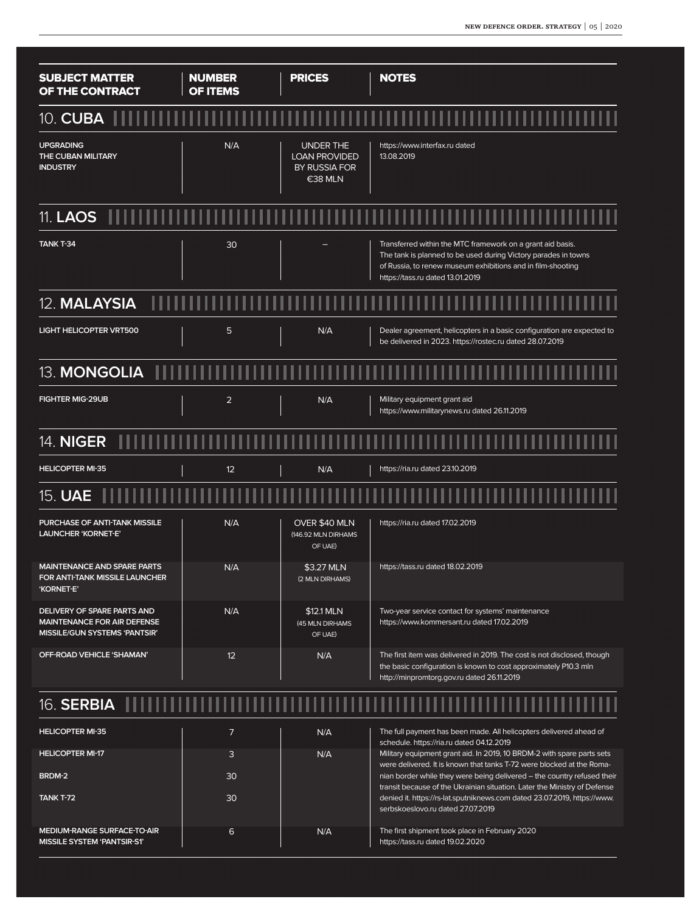transit because of the Ukrainian situation. Later the Ministry of Defense denied it. https://rs-lat.sputniknews.com dated 23.07.2019, https://www.

| <b>SUBJECT MATTER</b><br>OF THE CONTRACT                                                                  | <b>NUMBER</b><br><b>OF ITEMS</b> | <b>PRICES</b>                                                        | <b>NOTES</b>                                                                                                                                                                                                                    |
|-----------------------------------------------------------------------------------------------------------|----------------------------------|----------------------------------------------------------------------|---------------------------------------------------------------------------------------------------------------------------------------------------------------------------------------------------------------------------------|
| 10. CUBA                                                                                                  |                                  |                                                                      |                                                                                                                                                                                                                                 |
| <b>UPGRADING</b><br>THE CUBAN MILITARY<br><b>INDUSTRY</b>                                                 | N/A                              | <b>UNDER THE</b><br><b>LOAN PROVIDED</b><br>BY RUSSIA FOR<br>€38 MLN | https://www.interfax.ru dated<br>13.08.2019                                                                                                                                                                                     |
| 11. <b>LAOS</b> 11                                                                                        |                                  |                                                                      |                                                                                                                                                                                                                                 |
| <b>TANK T-34</b>                                                                                          | 30                               |                                                                      | Transferred within the MTC framework on a grant aid basis.<br>The tank is planned to be used during Victory parades in towns<br>of Russia, to renew museum exhibitions and in film-shooting<br>https://tass.ru dated 13.01.2019 |
| 12. MALAYSIA                                                                                              |                                  |                                                                      |                                                                                                                                                                                                                                 |
| <b>LIGHT HELICOPTER VRT500</b>                                                                            | 5                                | N/A                                                                  | Dealer agreement, helicopters in a basic configuration are expected to<br>be delivered in 2023. https://rostec.ru dated 28.07.2019                                                                                              |
| 13. MONGOLIA                                                                                              |                                  |                                                                      |                                                                                                                                                                                                                                 |
| <b>FIGHTER MIG-29UB</b>                                                                                   | $\overline{2}$                   | N/A                                                                  | Military equipment grant aid<br>https://www.militarynews.ru dated 26.11.2019                                                                                                                                                    |
| <b>14. NIGER</b>                                                                                          |                                  |                                                                      |                                                                                                                                                                                                                                 |
| <b>HELICOPTER MI-35</b>                                                                                   | 12                               | N/A                                                                  | https://ria.ru dated 23.10.2019                                                                                                                                                                                                 |
| 15. UAE                                                                                                   |                                  |                                                                      |                                                                                                                                                                                                                                 |
| PURCHASE OF ANTI-TANK MISSILE<br><b>LAUNCHER 'KORNET-E'</b>                                               | N/A                              | OVER \$40 MLN<br>(146.92 MLN DIRHAMS<br>OF UAE)                      | https://ria.ru dated 17.02.2019                                                                                                                                                                                                 |
| <b>MAINTENANCE AND SPARE PARTS</b><br>FOR ANTI-TANK MISSILE LAUNCHER<br>'KORNET-E'                        | N/A                              | \$3.27 MLN<br>(2 MLN DIRHAMS)                                        | https://tass.ru dated 18.02.2019                                                                                                                                                                                                |
| DELIVERY OF SPARE PARTS AND<br><b>MAINTENANCE FOR AIR DEFENSE</b><br><b>MISSILE/GUN SYSTEMS 'PANTSIR'</b> | N/A                              | \$12.1 MLN<br>(45 MLN DIRHAMS<br>OF UAE)                             | Two-year service contact for systems' maintenance<br>https://www.kommersant.ru dated 17.02.2019                                                                                                                                 |
| OFF-ROAD VEHICLE 'SHAMAN'                                                                                 | 12                               | N/A                                                                  | The first item was delivered in 2019. The cost is not disclosed, though<br>the basic configuration is known to cost approximately P10.3 mln<br>http://minpromtorg.gov.ru dated 26.11.2019                                       |
| 16. SERBIA                                                                                                |                                  |                                                                      |                                                                                                                                                                                                                                 |
| <b>HELICOPTER MI-35</b>                                                                                   | 7                                | N/A                                                                  | The full payment has been made. All helicopters delivered ahead of<br>schedule. https://ria.ru dated 04.12.2019                                                                                                                 |
| <b>HELICOPTER MI-17</b>                                                                                   | 3                                | N/A                                                                  | Military equipment grant aid. In 2019, 10 BRDM-2 with spare parts sets<br>were delivered. It is known that tanks T-72 were blocked at the Roma-                                                                                 |
| BRDM-2                                                                                                    | 30                               |                                                                      | nian border while they were being delivered - the country refused their                                                                                                                                                         |

**MEDIUM-RANGE SURFACE-TO-AIR MISSILE SYSTEM 'PANTSIR-S1'** 6 N/A serbskoeslovo.ru dated 27.07.2019 The first shipment took place in February 2020 https://tass.ru dated 19.02.2020

30

**TANK T-72**